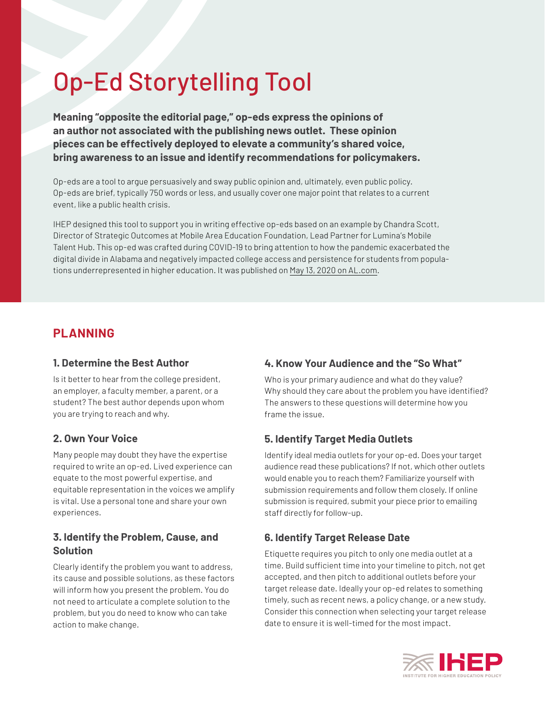# Op-Ed Storytelling Tool

**Meaning "opposite the editorial page," op-eds express the opinions of an author not associated with the publishing news outlet. These opinion pieces can be effectively deployed to elevate a community's shared voice, bring awareness to an issue and identify recommendations for policymakers.** 

Op-eds are a tool to argue persuasively and sway public opinion and, ultimately, even public policy. Op-eds are brief, typically 750 words or less, and usually cover one major point that relates to a current event, like a public health crisis.

IHEP designed this tool to support you in writing effective op-eds based on an example by Chandra Scott, Director of Strategic Outcomes at Mobile Area Education Foundation, Lead Partner for Lumina's Mobile Talent Hub. This op-ed was crafted during COVID-19 to bring attention to how the pandemic exacerbated the digital divide in Alabama and negatively impacted college access and persistence for students from populations underrepresented in higher education. It was published on [May 13, 2020 on AL.com.](https://www.al.com/opinion/2020/05/lack-of-broadband-access-is-a-hidden-barrier-to-our-pandemic-recovery.html)

## **PLANNING**

#### **1. Determine the Best Author**

Is it better to hear from the college president, an employer, a faculty member, a parent, or a student? The best author depends upon whom you are trying to reach and why.

#### **2. Own Your Voice**

Many people may doubt they have the expertise required to write an op-ed. Lived experience can equate to the most powerful expertise, and equitable representation in the voices we amplify is vital. Use a personal tone and share your own experiences.

#### **3. Identify the Problem, Cause, and Solution**

Clearly identify the problem you want to address, its cause and possible solutions, as these factors will inform how you present the problem. You do not need to articulate a complete solution to the problem, but you do need to know who can take action to make change.

### **4. Know Your Audience and the "So What"**

Who is your primary audience and what do they value? Why should they care about the problem you have identified? The answers to these questions will determine how you frame the issue.

### **5. Identify Target Media Outlets**

Identify ideal media outlets for your op-ed. Does your target audience read these publications? If not, which other outlets would enable you to reach them? Familiarize yourself with submission requirements and follow them closely. If online submission is required, submit your piece prior to emailing staff directly for follow-up.

### **6. Identify Target Release Date**

Etiquette requires you pitch to only one media outlet at a time. Build sufficient time into your timeline to pitch, not get accepted, and then pitch to additional outlets before your target release date. Ideally your op-ed relates to something timely, such as recent news, a policy change, or a new study. Consider this connection when selecting your target release date to ensure it is well-timed for the most impact.